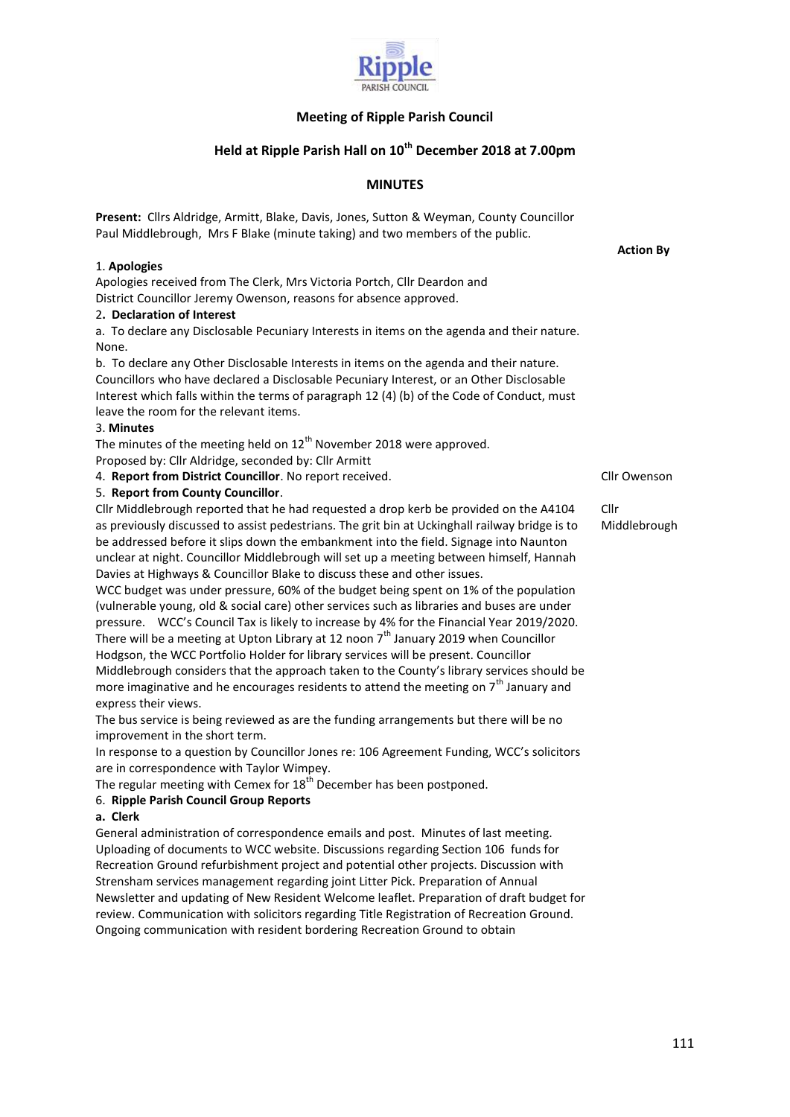

# **Meeting of Ripple Parish Council**

# **Held at Ripple Parish Hall on 10th December 2018 at 7.00pm**

# **MINUTES**

**Present:** Cllrs Aldridge, Armitt, Blake, Davis, Jones, Sutton & Weyman, County Councillor Paul Middlebrough, Mrs F Blake (minute taking) and two members of the public.

1. **Apologies**

Apologies received from The Clerk, Mrs Victoria Portch, Cllr Deardon and District Councillor Jeremy Owenson, reasons for absence approved.

## 2**. Declaration of Interest**

a. To declare any Disclosable Pecuniary Interests in items on the agenda and their nature. None.

b. To declare any Other Disclosable Interests in items on the agenda and their nature. Councillors who have declared a Disclosable Pecuniary Interest, or an Other Disclosable Interest which falls within the terms of paragraph 12 (4) (b) of the Code of Conduct, must leave the room for the relevant items.

#### 3. **Minutes**

The minutes of the meeting held on  $12<sup>th</sup>$  November 2018 were approved. Proposed by: Cllr Aldridge, seconded by: Cllr Armitt

4. **Report from District Councillor**. No report received. **Class 2018** Cllr Owenson

## 5. **Report from County Councillor**.

Cllr Middlebrough reported that he had requested a drop kerb be provided on the A4104 as previously discussed to assist pedestrians. The grit bin at Uckinghall railway bridge is to be addressed before it slips down the embankment into the field. Signage into Naunton unclear at night. Councillor Middlebrough will set up a meeting between himself, Hannah Davies at Highways & Councillor Blake to discuss these and other issues.

WCC budget was under pressure, 60% of the budget being spent on 1% of the population (vulnerable young, old & social care) other services such as libraries and buses are under pressure. WCC's Council Tax is likely to increase by 4% for the Financial Year 2019/2020. There will be a meeting at Upton Library at 12 noon  $7<sup>th</sup>$  January 2019 when Councillor Hodgson, the WCC Portfolio Holder for library services will be present. Councillor Middlebrough considers that the approach taken to the County's library services should be more imaginative and he encourages residents to attend the meeting on  $7<sup>th</sup>$  January and express their views.

The bus service is being reviewed as are the funding arrangements but there will be no improvement in the short term.

In response to a question by Councillor Jones re: 106 Agreement Funding, WCC's solicitors are in correspondence with Taylor Wimpey.

The regular meeting with Cemex for  $18<sup>th</sup>$  December has been postponed.

## 6. **Ripple Parish Council Group Reports**

## **a. Clerk**

General administration of correspondence emails and post. Minutes of last meeting. Uploading of documents to WCC website. Discussions regarding Section 106 funds for Recreation Ground refurbishment project and potential other projects. Discussion with Strensham services management regarding joint Litter Pick. Preparation of Annual Newsletter and updating of New Resident Welcome leaflet. Preparation of draft budget for review. Communication with solicitors regarding Title Registration of Recreation Ground. Ongoing communication with resident bordering Recreation Ground to obtain

 **Action By**

Cllr Middlebrough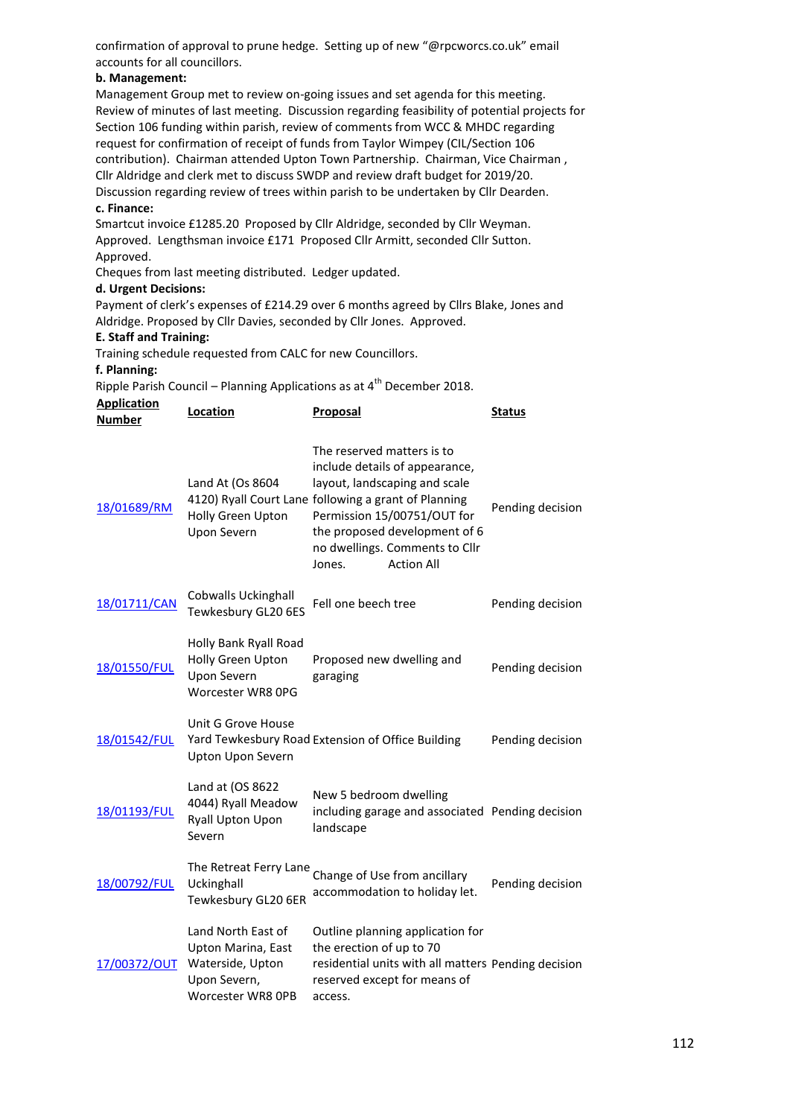confirmation of approval to prune hedge. Setting up of new "@rpcworcs.co.uk" email accounts for all councillors.

## **b. Management:**

Management Group met to review on-going issues and set agenda for this meeting. Review of minutes of last meeting. Discussion regarding feasibility of potential projects for Section 106 funding within parish, review of comments from WCC & MHDC regarding request for confirmation of receipt of funds from Taylor Wimpey (CIL/Section 106 contribution). Chairman attended Upton Town Partnership. Chairman, Vice Chairman , Cllr Aldridge and clerk met to discuss SWDP and review draft budget for 2019/20. Discussion regarding review of trees within parish to be undertaken by Cllr Dearden.

## **c. Finance:**

Smartcut invoice £1285.20 Proposed by Cllr Aldridge, seconded by Cllr Weyman. Approved. Lengthsman invoice £171 Proposed Cllr Armitt, seconded Cllr Sutton. Approved.

Cheques from last meeting distributed. Ledger updated.

#### **d. Urgent Decisions:**

Payment of clerk's expenses of £214.29 over 6 months agreed by Cllrs Blake, Jones and Aldridge. Proposed by Cllr Davies, seconded by Cllr Jones. Approved.

#### **E. Staff and Training:**

Training schedule requested from CALC for new Councillors.

#### **f. Planning:**

Ripple Parish Council – Planning Applications as at  $4^{\text{th}}$  December 2018.

| <b>Application</b><br><b>Number</b> | Location                                                                                          | Proposal                                                                                                                                                                                                                                                                               | <b>Status</b>    |
|-------------------------------------|---------------------------------------------------------------------------------------------------|----------------------------------------------------------------------------------------------------------------------------------------------------------------------------------------------------------------------------------------------------------------------------------------|------------------|
| 18/01689/RM                         | Land At (Os 8604<br>Holly Green Upton<br><b>Upon Severn</b>                                       | The reserved matters is to<br>include details of appearance,<br>layout, landscaping and scale<br>4120) Ryall Court Lane following a grant of Planning<br>Permission 15/00751/OUT for<br>the proposed development of 6<br>no dwellings. Comments to Cllr<br><b>Action All</b><br>Jones. | Pending decision |
| 18/01711/CAN                        | Cobwalls Uckinghall<br>Tewkesbury GL20 6ES                                                        | Fell one beech tree                                                                                                                                                                                                                                                                    | Pending decision |
| 18/01550/FUL                        | Holly Bank Ryall Road<br>Holly Green Upton<br>Upon Severn<br>Worcester WR8 0PG                    | Proposed new dwelling and<br>garaging                                                                                                                                                                                                                                                  | Pending decision |
| 18/01542/FUL                        | Unit G Grove House<br>Upton Upon Severn                                                           | Yard Tewkesbury Road Extension of Office Building                                                                                                                                                                                                                                      | Pending decision |
| 18/01193/FUL                        | Land at (OS 8622<br>4044) Ryall Meadow<br><b>Ryall Upton Upon</b><br>Severn                       | New 5 bedroom dwelling<br>including garage and associated Pending decision<br>landscape                                                                                                                                                                                                |                  |
| 18/00792/FUL                        | The Retreat Ferry Lane<br>Uckinghall<br>Tewkesbury GL20 6ER                                       | Change of Use from ancillary<br>accommodation to holiday let.                                                                                                                                                                                                                          | Pending decision |
| 17/00372/OUT                        | Land North East of<br>Upton Marina, East<br>Waterside, Upton<br>Upon Severn,<br>Worcester WR8 OPB | Outline planning application for<br>the erection of up to 70<br>residential units with all matters Pending decision<br>reserved except for means of<br>access.                                                                                                                         |                  |